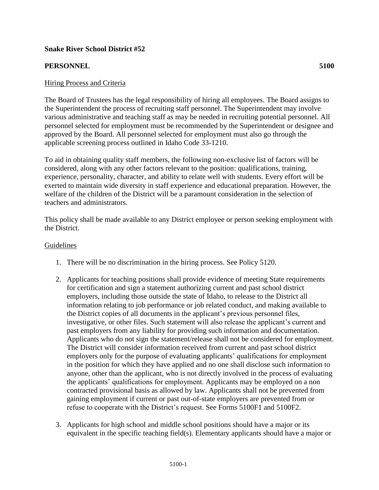## **Snake River School District #52**

## **PERSONNEL 5100**

### Hiring Process and Criteria

The Board of Trustees has the legal responsibility of hiring all employees. The Board assigns to the Superintendent the process of recruiting staff personnel. The Superintendent may involve various administrative and teaching staff as may be needed in recruiting potential personnel. All personnel selected for employment must be recommended by the Superintendent or designee and approved by the Board. All personnel selected for employment must also go through the applicable screening process outlined in Idaho Code 33-1210.

To aid in obtaining quality staff members, the following non-exclusive list of factors will be considered, along with any other factors relevant to the position: qualifications, training, experience, personality, character, and ability to relate well with students. Every effort will be exerted to maintain wide diversity in staff experience and educational preparation. However, the welfare of the children of the District will be a paramount consideration in the selection of teachers and administrators.

This policy shall be made available to any District employee or person seeking employment with the District.

#### Guidelines

- 1. There will be no discrimination in the hiring process. See Policy 5120.
- 2. Applicants for teaching positions shall provide evidence of meeting State requirements for certification and sign a statement authorizing current and past school district employers, including those outside the state of Idaho, to release to the District all information relating to job performance or job related conduct, and making available to the District copies of all documents in the applicant's previous personnel files, investigative, or other files. Such statement will also release the applicant's current and past employers from any liability for providing such information and documentation. Applicants who do not sign the statement/release shall not be considered for employment. The District will consider information received from current and past school district employers only for the purpose of evaluating applicants' qualifications for employment in the position for which they have applied and no one shall disclose such information to anyone, other than the applicant, who is not directly involved in the process of evaluating the applicants' qualifications for employment. Applicants may be employed on a non contracted provisional basis as allowed by law. Applicants shall not be prevented from gaining employment if current or past out-of-state employers are prevented from or refuse to cooperate with the District's request. See Forms 5100F1 and 5100F2.
- 3. Applicants for high school and middle school positions should have a major or its equivalent in the specific teaching field(s). Elementary applicants should have a major or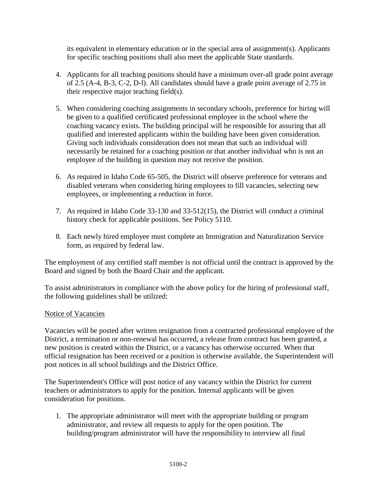its equivalent in elementary education or in the special area of assignment(s). Applicants for specific teaching positions shall also meet the applicable State standards.

- 4. Applicants for all teaching positions should have a minimum over-all grade point average of 2.5 (A-4, B-3, C-2, D-l). All candidates should have a grade point average of 2.75 in their respective major teaching field(s).
- 5. When considering coaching assignments in secondary schools, preference for hiring will be given to a qualified certificated professional employee in the school where the coaching vacancy exists. The building principal will be responsible for assuring that all qualified and interested applicants within the building have been given consideration. Giving such individuals consideration does not mean that such an individual will necessarily be retained for a coaching position or that another individual who is not an employee of the building in question may not receive the position.
- 6. As required in Idaho Code 65-505, the District will observe preference for veterans and disabled veterans when considering hiring employees to fill vacancies, selecting new employees, or implementing a reduction in force.
- 7. As required in Idaho Code 33-130 and 33-512(15), the District will conduct a criminal history check for applicable positions. See Policy 5110.
- 8. Each newly hired employee must complete an Immigration and Naturalization Service form, as required by federal law.

The employment of any certified staff member is not official until the contract is approved by the Board and signed by both the Board Chair and the applicant.

To assist administrators in compliance with the above policy for the hiring of professional staff, the following guidelines shall be utilized:

# Notice of Vacancies

Vacancies will be posted after written resignation from a contracted professional employee of the District, a termination or non-renewal has occurred, a release from contract has been granted, a new position is created within the District, or a vacancy has otherwise occurred. When that official resignation has been received or a position is otherwise available, the Superintendent will post notices in all school buildings and the District Office.

The Superintendent's Office will post notice of any vacancy within the District for current teachers or administrators to apply for the position. Internal applicants will be given consideration for positions.

1. The appropriate administrator will meet with the appropriate building or program administrator, and review all requests to apply for the open position. The building/program administrator will have the responsibility to interview all final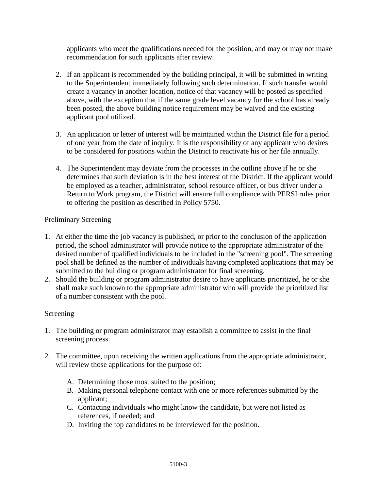applicants who meet the qualifications needed for the position, and may or may not make recommendation for such applicants after review.

- 2. If an applicant is recommended by the building principal, it will be submitted in writing to the Superintendent immediately following such determination. If such transfer would create a vacancy in another location, notice of that vacancy will be posted as specified above, with the exception that if the same grade level vacancy for the school has already been posted, the above building notice requirement may be waived and the existing applicant pool utilized.
- 3. An application or letter of interest will be maintained within the District file for a period of one year from the date of inquiry. It is the responsibility of any applicant who desires to be considered for positions within the District to reactivate his or her file annually.
- 4. The Superintendent may deviate from the processes in the outline above if he or she determines that such deviation is in the best interest of the District. If the applicant would be employed as a teacher, administrator, school resource officer, or bus driver under a Return to Work program, the District will ensure full compliance with PERSI rules prior to offering the position as described in Policy 5750.

# Preliminary Screening

- 1. At either the time the job vacancy is published, or prior to the conclusion of the application period, the school administrator will provide notice to the appropriate administrator of the desired number of qualified individuals to be included in the "screening pool". The screening pool shall be defined as the number of individuals having completed applications that may be submitted to the building or program administrator for final screening.
- 2. Should the building or program administrator desire to have applicants prioritized, he or she shall make such known to the appropriate administrator who will provide the prioritized list of a number consistent with the pool.

# Screening

- 1. The building or program administrator may establish a committee to assist in the final screening process.
- 2. The committee, upon receiving the written applications from the appropriate administrator, will review those applications for the purpose of:
	- A. Determining those most suited to the position;
	- B. Making personal telephone contact with one or more references submitted by the applicant;
	- C. Contacting individuals who might know the candidate, but were not listed as references, if needed; and
	- D. Inviting the top candidates to be interviewed for the position.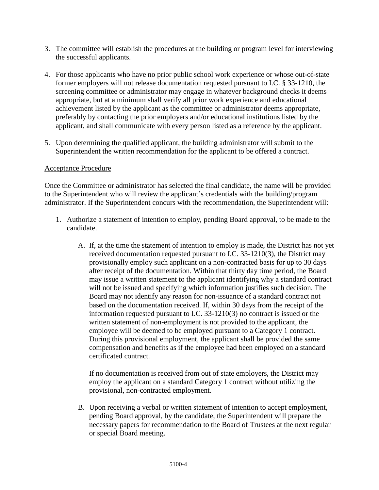- 3. The committee will establish the procedures at the building or program level for interviewing the successful applicants.
- 4. For those applicants who have no prior public school work experience or whose out-of-state former employers will not release documentation requested pursuant to I.C. § 33-1210, the screening committee or administrator may engage in whatever background checks it deems appropriate, but at a minimum shall verify all prior work experience and educational achievement listed by the applicant as the committee or administrator deems appropriate, preferably by contacting the prior employers and/or educational institutions listed by the applicant, and shall communicate with every person listed as a reference by the applicant.
- 5. Upon determining the qualified applicant, the building administrator will submit to the Superintendent the written recommendation for the applicant to be offered a contract.

# Acceptance Procedure

Once the Committee or administrator has selected the final candidate, the name will be provided to the Superintendent who will review the applicant's credentials with the building/program administrator. If the Superintendent concurs with the recommendation, the Superintendent will:

- 1. Authorize a statement of intention to employ, pending Board approval, to be made to the candidate.
	- A. If, at the time the statement of intention to employ is made, the District has not yet received documentation requested pursuant to I.C. 33-1210(3), the District may provisionally employ such applicant on a non-contracted basis for up to 30 days after receipt of the documentation. Within that thirty day time period, the Board may issue a written statement to the applicant identifying why a standard contract will not be issued and specifying which information justifies such decision. The Board may not identify any reason for non-issuance of a standard contract not based on the documentation received. If, within 30 days from the receipt of the information requested pursuant to I.C. 33-1210(3) no contract is issued or the written statement of non-employment is not provided to the applicant, the employee will be deemed to be employed pursuant to a Category 1 contract. During this provisional employment, the applicant shall be provided the same compensation and benefits as if the employee had been employed on a standard certificated contract.

If no documentation is received from out of state employers, the District may employ the applicant on a standard Category 1 contract without utilizing the provisional, non-contracted employment.

B. Upon receiving a verbal or written statement of intention to accept employment, pending Board approval, by the candidate, the Superintendent will prepare the necessary papers for recommendation to the Board of Trustees at the next regular or special Board meeting.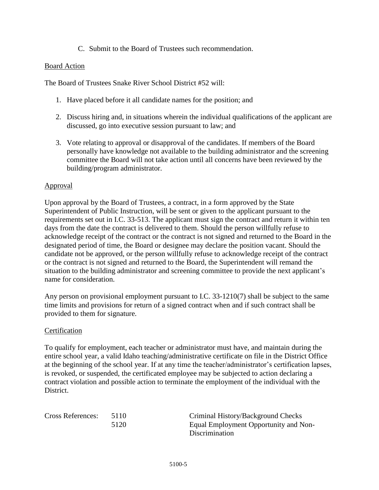## C. Submit to the Board of Trustees such recommendation.

#### Board Action

The Board of Trustees Snake River School District #52 will:

- 1. Have placed before it all candidate names for the position; and
- 2. Discuss hiring and, in situations wherein the individual qualifications of the applicant are discussed, go into executive session pursuant to law; and
- 3. Vote relating to approval or disapproval of the candidates. If members of the Board personally have knowledge not available to the building administrator and the screening committee the Board will not take action until all concerns have been reviewed by the building/program administrator.

#### Approval

Upon approval by the Board of Trustees, a contract, in a form approved by the State Superintendent of Public Instruction, will be sent or given to the applicant pursuant to the requirements set out in I.C. 33-513. The applicant must sign the contract and return it within ten days from the date the contract is delivered to them. Should the person willfully refuse to acknowledge receipt of the contract or the contract is not signed and returned to the Board in the designated period of time, the Board or designee may declare the position vacant. Should the candidate not be approved, or the person willfully refuse to acknowledge receipt of the contract or the contract is not signed and returned to the Board, the Superintendent will remand the situation to the building administrator and screening committee to provide the next applicant's name for consideration.

Any person on provisional employment pursuant to I.C. 33-1210(7) shall be subject to the same time limits and provisions for return of a signed contract when and if such contract shall be provided to them for signature.

#### **Certification**

To qualify for employment, each teacher or administrator must have, and maintain during the entire school year, a valid Idaho teaching/administrative certificate on file in the District Office at the beginning of the school year. If at any time the teacher/administrator's certification lapses, is revoked, or suspended, the certificated employee may be subjected to action declaring a contract violation and possible action to terminate the employment of the individual with the District.

| <b>Cross References:</b> | 5110 |
|--------------------------|------|
|                          | 5120 |

Oriminal History/Background Checks 5120 Equal Employment Opportunity and Non-Discrimination